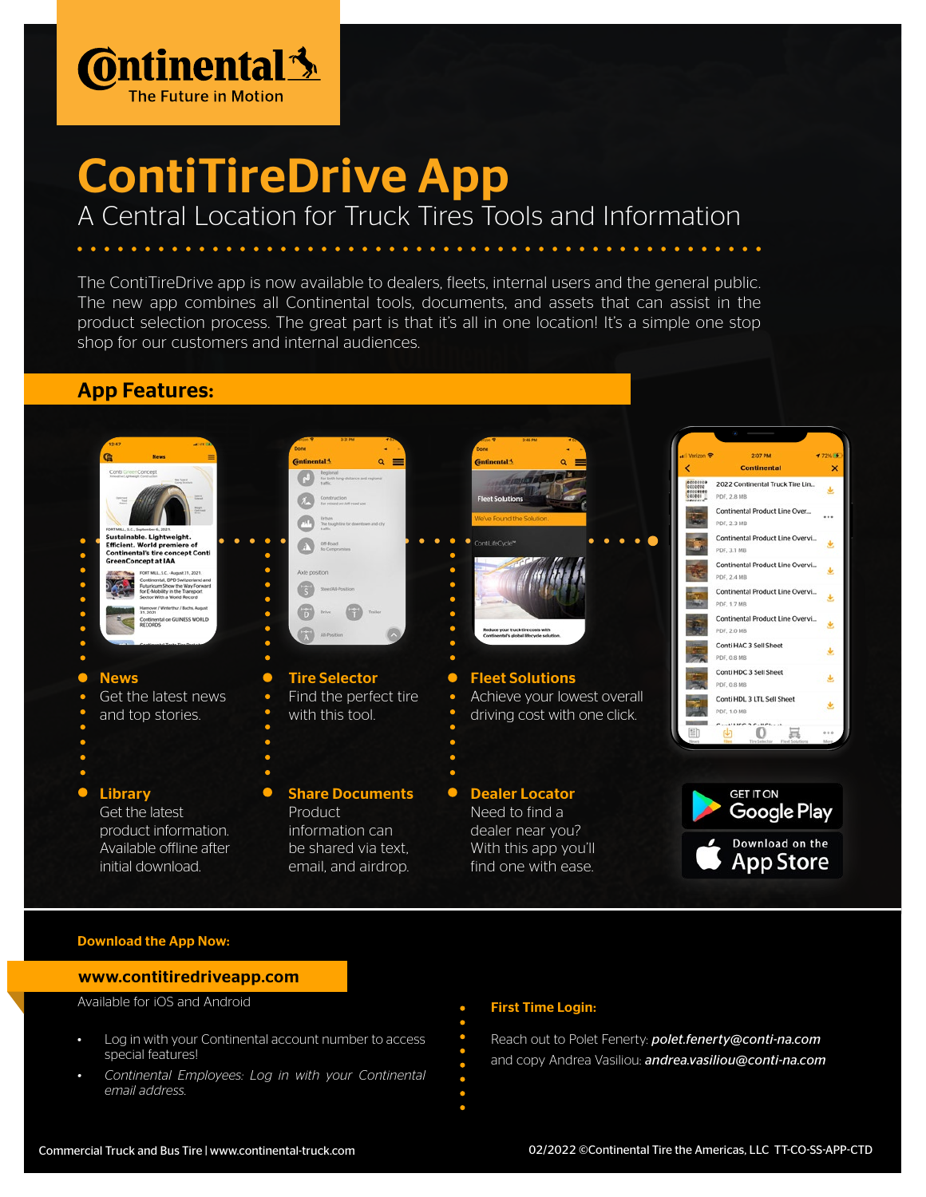

# ContiTireDrive App

### A Central Location for Truck Tires Tools and Information

The ContiTireDrive app is now available to dealers, fleets, internal users and the general public. The new app combines all Continental tools, documents, and assets that can assist in the product selection process. The great part is that it's all in one location! It's a simple one stop shop for our customers and internal audiences.

### App Features:



### Download the App Now:

#### www.contitiredriveapp.com

Available for iOS and Android

- Log in with your Continental account number to access special features!
- *• Continental Employees: Log in with your Continental email address.*

#### First Time Login:

Reach out to Polet Fenerty: *polet.fenerty@conti-na.com* and copy Andrea Vasiliou: *andrea.vasiliou@conti-na.com*